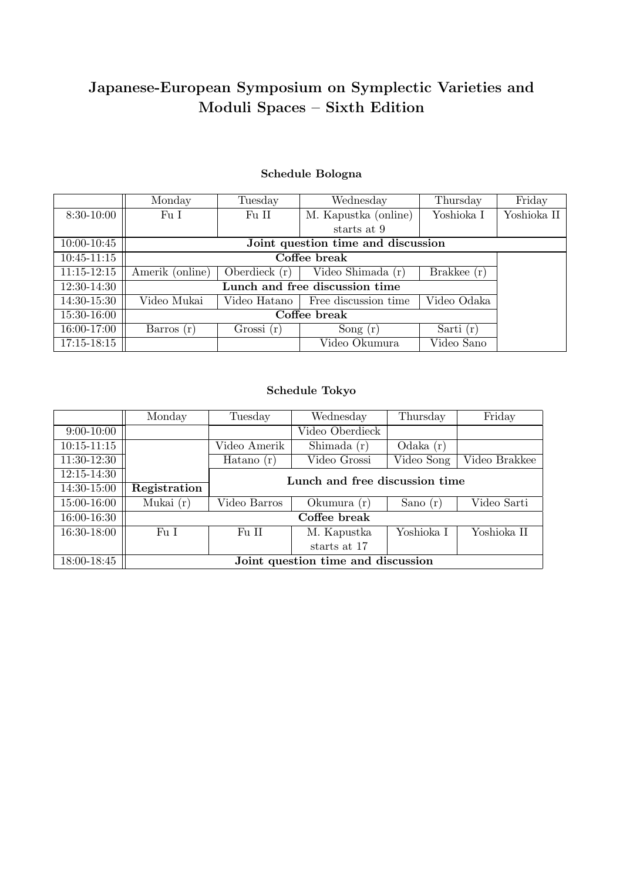# Japanese-European Symposium on Symplectic Varieties and Moduli Spaces – Sixth Edition

# Schedule Bologna

|                 | Monday                             | Tuesday         | Wednesday            | Thursday      | Friday      |  |
|-----------------|------------------------------------|-----------------|----------------------|---------------|-------------|--|
| 8:30-10:00      | Fu I                               | Fu II           | M. Kapustka (online) | Yoshioka I    | Yoshioka II |  |
|                 |                                    |                 | starts at 9          |               |             |  |
| 10:00-10:45     | Joint question time and discussion |                 |                      |               |             |  |
| $10:45 - 11:15$ |                                    |                 |                      |               |             |  |
| $11:15 - 12:15$ | Amerik (online)                    | Oberdieck $(r)$ | Video Shimada (r)    | Brakkee $(r)$ |             |  |
| 12:30-14:30     |                                    |                 |                      |               |             |  |
| 14:30-15:30     | Video Mukai                        | Video Hatano    | Free discussion time | Video Odaka   |             |  |
| 15:30-16:00     |                                    |                 |                      |               |             |  |
| 16:00-17:00     | Barros $(r)$                       | Grossi(r)       | Song $(r)$           | Sarti $(r)$   |             |  |
| $17:15 - 18:15$ |                                    |                 | Video Okumura        | Video Sano    |             |  |

# Schedule Tokyo

|                 | Monday                             | Tuesday                        | Wednesday       | Thursday   | Friday        |  |  |  |
|-----------------|------------------------------------|--------------------------------|-----------------|------------|---------------|--|--|--|
| $9:00-10:00$    |                                    |                                | Video Oberdieck |            |               |  |  |  |
| $10:15 - 11:15$ |                                    | Video Amerik                   | Shimada $(r)$   | Odaka(r)   |               |  |  |  |
| 11:30-12:30     |                                    | Hatano $(r)$                   | Video Grossi    | Video Song | Video Brakkee |  |  |  |
| $12:15 - 14:30$ |                                    | Lunch and free discussion time |                 |            |               |  |  |  |
| 14:30-15:00     | Registration                       |                                |                 |            |               |  |  |  |
| 15:00-16:00     | Mukai $(r)$                        | Video Barros                   | Okumura (r)     | Sano $(r)$ | Video Sarti   |  |  |  |
| 16:00-16:30     | Coffee break                       |                                |                 |            |               |  |  |  |
| 16:30-18:00     | Fu I                               | Fu II                          | M. Kapustka     | Yoshioka I | Yoshioka II   |  |  |  |
|                 |                                    |                                | starts at 17    |            |               |  |  |  |
| 18:00-18:45     | Joint question time and discussion |                                |                 |            |               |  |  |  |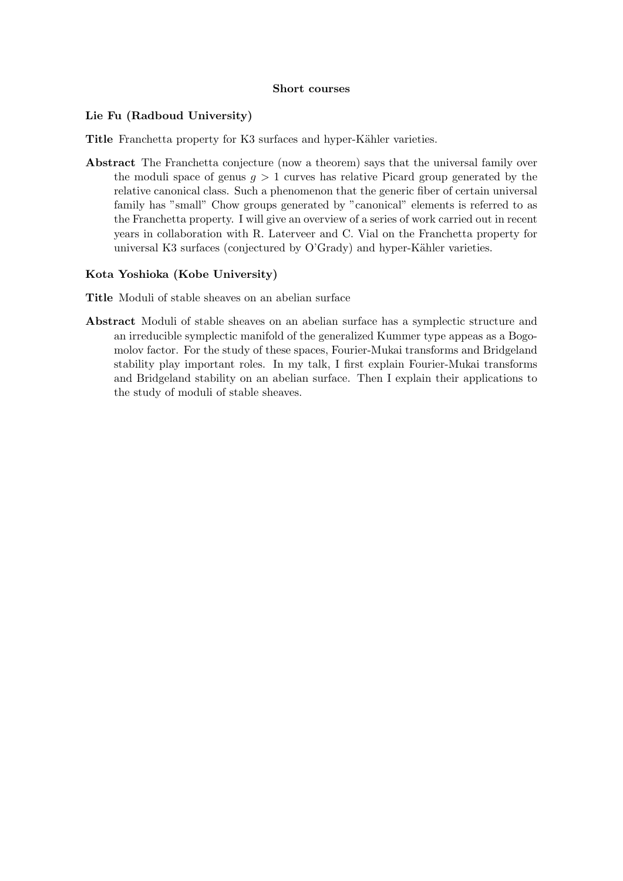#### Short courses

## Lie Fu (Radboud University)

Title Franchetta property for K3 surfaces and hyper-Kähler varieties.

Abstract The Franchetta conjecture (now a theorem) says that the universal family over the moduli space of genus  $g > 1$  curves has relative Picard group generated by the relative canonical class. Such a phenomenon that the generic fiber of certain universal family has "small" Chow groups generated by "canonical" elements is referred to as the Franchetta property. I will give an overview of a series of work carried out in recent years in collaboration with R. Laterveer and C. Vial on the Franchetta property for universal K3 surfaces (conjectured by O'Grady) and hyper-Kähler varieties.

# Kota Yoshioka (Kobe University)

Title Moduli of stable sheaves on an abelian surface

Abstract Moduli of stable sheaves on an abelian surface has a symplectic structure and an irreducible symplectic manifold of the generalized Kummer type appeas as a Bogomolov factor. For the study of these spaces, Fourier-Mukai transforms and Bridgeland stability play important roles. In my talk, I first explain Fourier-Mukai transforms and Bridgeland stability on an abelian surface. Then I explain their applications to the study of moduli of stable sheaves.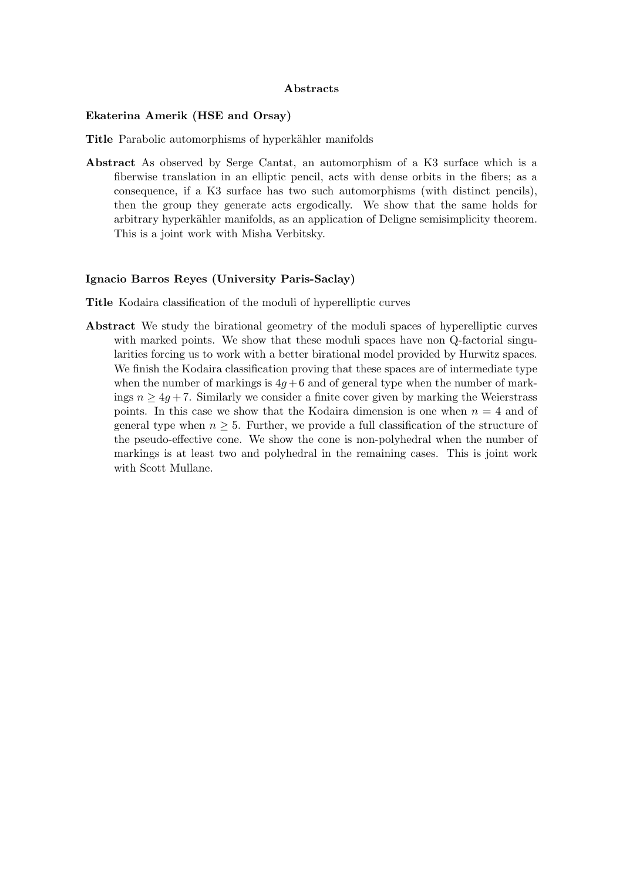#### Abstracts

#### Ekaterina Amerik (HSE and Orsay)

Title Parabolic automorphisms of hyperkähler manifolds

Abstract As observed by Serge Cantat, an automorphism of a K3 surface which is a fiberwise translation in an elliptic pencil, acts with dense orbits in the fibers; as a consequence, if a K3 surface has two such automorphisms (with distinct pencils), then the group they generate acts ergodically. We show that the same holds for arbitrary hyperkähler manifolds, as an application of Deligne semisimplicity theorem. This is a joint work with Misha Verbitsky.

#### Ignacio Barros Reyes (University Paris-Saclay)

Title Kodaira classification of the moduli of hyperelliptic curves

Abstract We study the birational geometry of the moduli spaces of hyperelliptic curves with marked points. We show that these moduli spaces have non Q-factorial singularities forcing us to work with a better birational model provided by Hurwitz spaces. We finish the Kodaira classification proving that these spaces are of intermediate type when the number of markings is  $4q+6$  and of general type when the number of markings  $n \geq 4q + 7$ . Similarly we consider a finite cover given by marking the Weierstrass points. In this case we show that the Kodaira dimension is one when  $n = 4$  and of general type when  $n \geq 5$ . Further, we provide a full classification of the structure of the pseudo-effective cone. We show the cone is non-polyhedral when the number of markings is at least two and polyhedral in the remaining cases. This is joint work with Scott Mullane.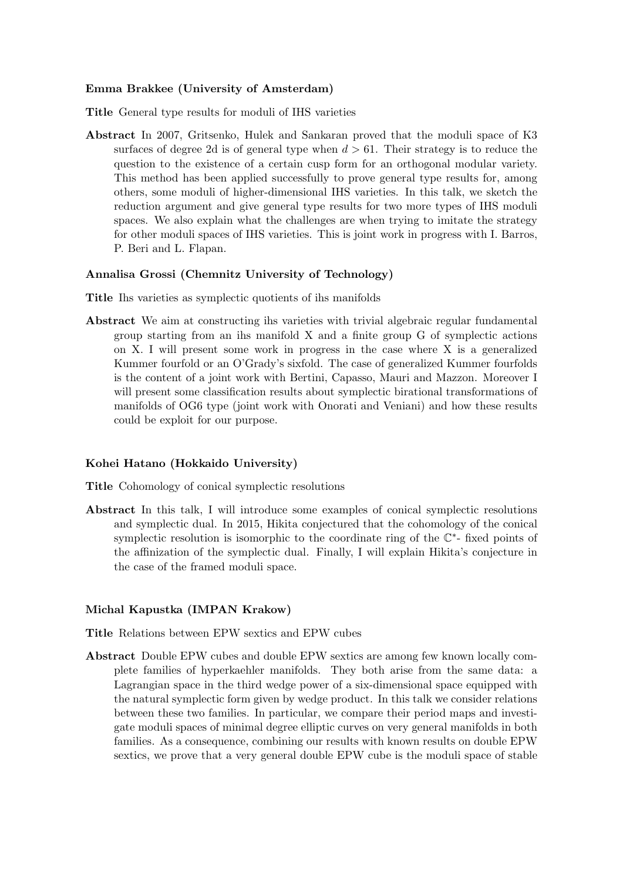#### Emma Brakkee (University of Amsterdam)

Title General type results for moduli of IHS varieties

Abstract In 2007, Gritsenko, Hulek and Sankaran proved that the moduli space of K3 surfaces of degree 2d is of general type when  $d > 61$ . Their strategy is to reduce the question to the existence of a certain cusp form for an orthogonal modular variety. This method has been applied successfully to prove general type results for, among others, some moduli of higher-dimensional IHS varieties. In this talk, we sketch the reduction argument and give general type results for two more types of IHS moduli spaces. We also explain what the challenges are when trying to imitate the strategy for other moduli spaces of IHS varieties. This is joint work in progress with I. Barros, P. Beri and L. Flapan.

#### Annalisa Grossi (Chemnitz University of Technology)

- Title Ihs varieties as symplectic quotients of ihs manifolds
- Abstract We aim at constructing ihs varieties with trivial algebraic regular fundamental group starting from an ihs manifold X and a finite group G of symplectic actions on X. I will present some work in progress in the case where X is a generalized Kummer fourfold or an O'Grady's sixfold. The case of generalized Kummer fourfolds is the content of a joint work with Bertini, Capasso, Mauri and Mazzon. Moreover I will present some classification results about symplectic birational transformations of manifolds of OG6 type (joint work with Onorati and Veniani) and how these results could be exploit for our purpose.

#### Kohei Hatano (Hokkaido University)

Title Cohomology of conical symplectic resolutions

Abstract In this talk, I will introduce some examples of conical symplectic resolutions and symplectic dual. In 2015, Hikita conjectured that the cohomology of the conical symplectic resolution is isomorphic to the coordinate ring of the  $\mathbb{C}^*$ - fixed points of the affinization of the symplectic dual. Finally, I will explain Hikita's conjecture in the case of the framed moduli space.

#### Michal Kapustka (IMPAN Krakow)

Title Relations between EPW sextics and EPW cubes

Abstract Double EPW cubes and double EPW sextics are among few known locally complete families of hyperkaehler manifolds. They both arise from the same data: a Lagrangian space in the third wedge power of a six-dimensional space equipped with the natural symplectic form given by wedge product. In this talk we consider relations between these two families. In particular, we compare their period maps and investigate moduli spaces of minimal degree elliptic curves on very general manifolds in both families. As a consequence, combining our results with known results on double EPW sextics, we prove that a very general double EPW cube is the moduli space of stable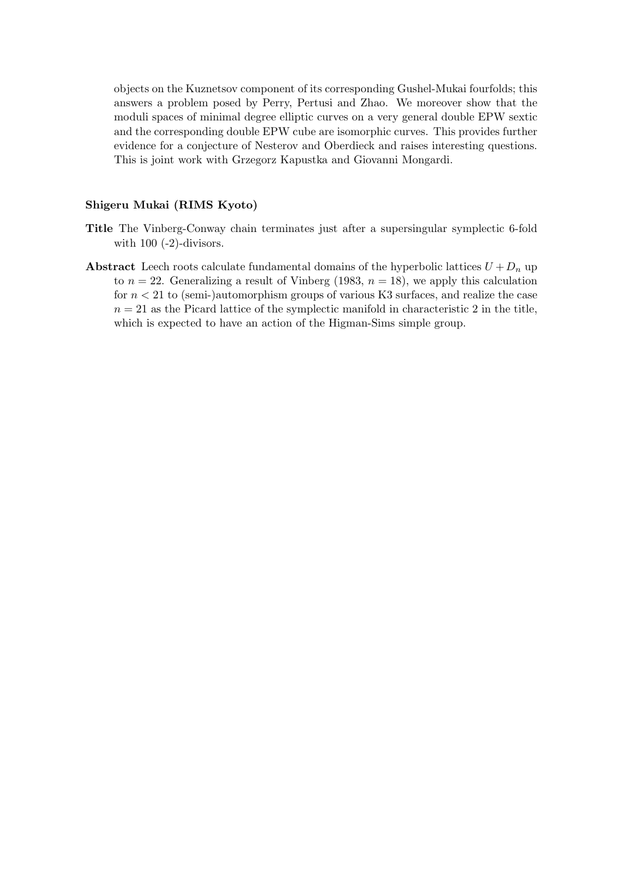objects on the Kuznetsov component of its corresponding Gushel-Mukai fourfolds; this answers a problem posed by Perry, Pertusi and Zhao. We moreover show that the moduli spaces of minimal degree elliptic curves on a very general double EPW sextic and the corresponding double EPW cube are isomorphic curves. This provides further evidence for a conjecture of Nesterov and Oberdieck and raises interesting questions. This is joint work with Grzegorz Kapustka and Giovanni Mongardi.

## Shigeru Mukai (RIMS Kyoto)

- Title The Vinberg-Conway chain terminates just after a supersingular symplectic 6-fold with  $100$  (-2)-divisors.
- Abstract Leech roots calculate fundamental domains of the hyperbolic lattices  $U + D_n$  up to  $n = 22$ . Generalizing a result of Vinberg (1983,  $n = 18$ ), we apply this calculation for  $n < 21$  to (semi-)automorphism groups of various K3 surfaces, and realize the case  $n = 21$  as the Picard lattice of the symplectic manifold in characteristic 2 in the title, which is expected to have an action of the Higman-Sims simple group.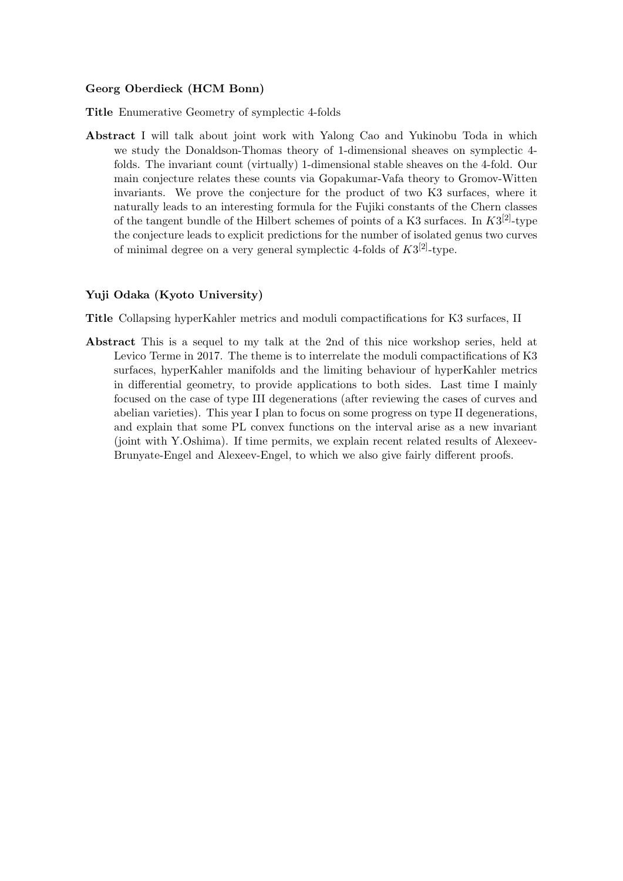### Georg Oberdieck (HCM Bonn)

Title Enumerative Geometry of symplectic 4-folds

Abstract I will talk about joint work with Yalong Cao and Yukinobu Toda in which we study the Donaldson-Thomas theory of 1-dimensional sheaves on symplectic 4 folds. The invariant count (virtually) 1-dimensional stable sheaves on the 4-fold. Our main conjecture relates these counts via Gopakumar-Vafa theory to Gromov-Witten invariants. We prove the conjecture for the product of two K3 surfaces, where it naturally leads to an interesting formula for the Fujiki constants of the Chern classes of the tangent bundle of the Hilbert schemes of points of a K3 surfaces. In  $K3^{[2]}$ -type the conjecture leads to explicit predictions for the number of isolated genus two curves of minimal degree on a very general symplectic 4-folds of  $K3^{[2]}$ -type.

#### Yuji Odaka (Kyoto University)

Title Collapsing hyperKahler metrics and moduli compactifications for K3 surfaces, II

Abstract This is a sequel to my talk at the 2nd of this nice workshop series, held at Levico Terme in 2017. The theme is to interrelate the moduli compactifications of K3 surfaces, hyperKahler manifolds and the limiting behaviour of hyperKahler metrics in differential geometry, to provide applications to both sides. Last time I mainly focused on the case of type III degenerations (after reviewing the cases of curves and abelian varieties). This year I plan to focus on some progress on type II degenerations, and explain that some PL convex functions on the interval arise as a new invariant (joint with Y.Oshima). If time permits, we explain recent related results of Alexeev-Brunyate-Engel and Alexeev-Engel, to which we also give fairly different proofs.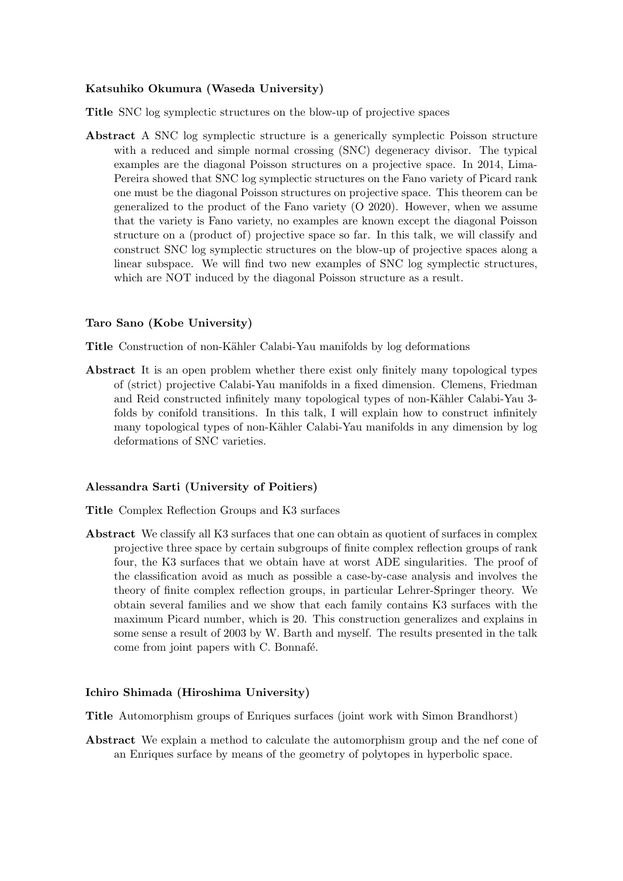## Katsuhiko Okumura (Waseda University)

Title SNC log symplectic structures on the blow-up of projective spaces

Abstract A SNC log symplectic structure is a generically symplectic Poisson structure with a reduced and simple normal crossing (SNC) degeneracy divisor. The typical examples are the diagonal Poisson structures on a projective space. In 2014, Lima-Pereira showed that SNC log symplectic structures on the Fano variety of Picard rank one must be the diagonal Poisson structures on projective space. This theorem can be generalized to the product of the Fano variety (O 2020). However, when we assume that the variety is Fano variety, no examples are known except the diagonal Poisson structure on a (product of) projective space so far. In this talk, we will classify and construct SNC log symplectic structures on the blow-up of projective spaces along a linear subspace. We will find two new examples of SNC log symplectic structures, which are NOT induced by the diagonal Poisson structure as a result.

#### Taro Sano (Kobe University)

Title Construction of non-Kähler Calabi-Yau manifolds by log deformations

Abstract It is an open problem whether there exist only finitely many topological types of (strict) projective Calabi-Yau manifolds in a fixed dimension. Clemens, Friedman and Reid constructed infinitely many topological types of non-Kähler Calabi-Yau 3folds by conifold transitions. In this talk, I will explain how to construct infinitely many topological types of non-Kähler Calabi-Yau manifolds in any dimension by log deformations of SNC varieties.

#### Alessandra Sarti (University of Poitiers)

Title Complex Reflection Groups and K3 surfaces

Abstract We classify all K3 surfaces that one can obtain as quotient of surfaces in complex projective three space by certain subgroups of finite complex reflection groups of rank four, the K3 surfaces that we obtain have at worst ADE singularities. The proof of the classification avoid as much as possible a case-by-case analysis and involves the theory of finite complex reflection groups, in particular Lehrer-Springer theory. We obtain several families and we show that each family contains K3 surfaces with the maximum Picard number, which is 20. This construction generalizes and explains in some sense a result of 2003 by W. Barth and myself. The results presented in the talk come from joint papers with C. Bonnafé.

#### Ichiro Shimada (Hiroshima University)

Title Automorphism groups of Enriques surfaces (joint work with Simon Brandhorst)

Abstract We explain a method to calculate the automorphism group and the nef cone of an Enriques surface by means of the geometry of polytopes in hyperbolic space.